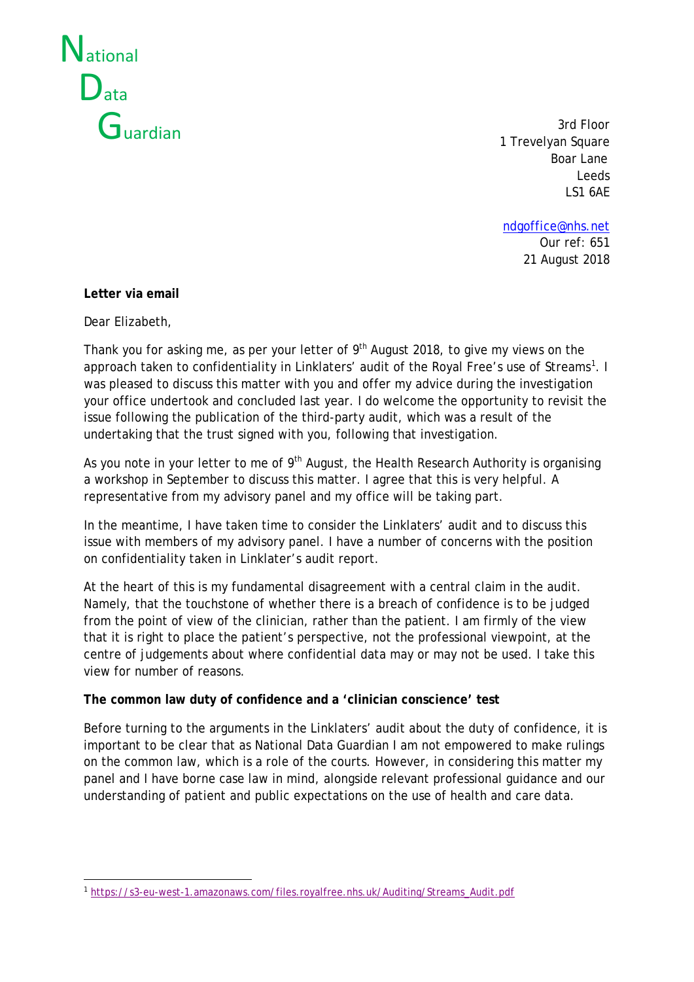

3rd Floor 1 Trevelyan Square Boar Lane Leeds LS1 6AE

[ndgoffice@nhs.net](mailto:ndgoffice@nhs.net) Our ref: 651 21 August 2018

#### **Letter via email**

Dear Elizabeth,

Thank you for asking me, as per your letter of 9<sup>th</sup> August 2018, to give my views on the approach taken to confidentiality in Linklaters' audit of the Royal Free's use of Streams<sup>[1](#page-0-0)</sup>. I was pleased to discuss this matter with you and offer my advice during the investigation your office undertook and concluded last year. I do welcome the opportunity to revisit the issue following the publication of the third-party audit, which was a result of the undertaking that the trust signed with you, following that investigation.

As you note in your letter to me of  $9<sup>th</sup>$  August, the Health Research Authority is organising a workshop in September to discuss this matter. I agree that this is very helpful. A representative from my advisory panel and my office will be taking part.

In the meantime, I have taken time to consider the Linklaters' audit and to discuss this issue with members of my advisory panel. I have a number of concerns with the position on confidentiality taken in Linklater's audit report.

At the heart of this is my fundamental disagreement with a central claim in the audit. Namely, that the touchstone of whether there is a breach of confidence is to be judged from the point of view of the clinician, rather than the patient. I am firmly of the view that it is right to place the patient's perspective, not the professional viewpoint, at the centre of judgements about where confidential data may or may not be used. I take this view for number of reasons.

# **The common law duty of confidence and a 'clinician conscience' test**

Before turning to the arguments in the Linklaters' audit about the duty of confidence, it is important to be clear that as National Data Guardian I am not empowered to make rulings on the common law, which is a role of the courts. However, in considering this matter my panel and I have borne case law in mind, alongside relevant professional guidance and our understanding of patient and public expectations on the use of health and care data.

<span id="page-0-0"></span><sup>&</sup>lt;u>.</u> <sup>1</sup> [https://s3-eu-west-1.amazonaws.com/files.royalfree.nhs.uk/Auditing/Streams\\_Audit.pdf](https://s3-eu-west-1.amazonaws.com/files.royalfree.nhs.uk/Reporting/Streams_Report.pdf)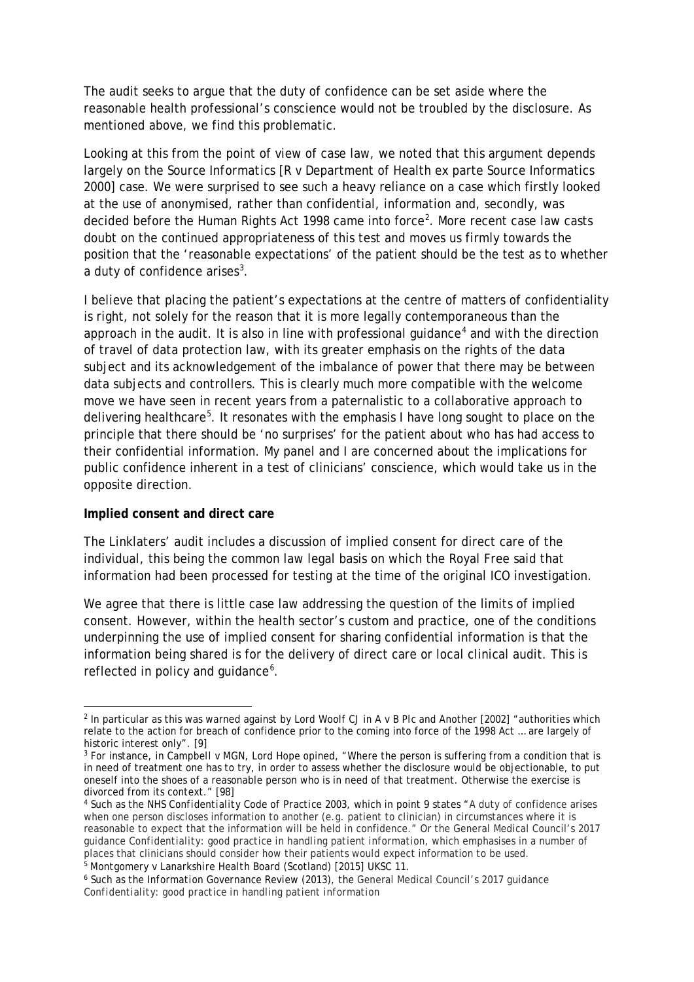The audit seeks to argue that the duty of confidence can be set aside where the reasonable health professional's conscience would not be troubled by the disclosure. As mentioned above, we find this problematic.

Looking at this from the point of view of case law, we noted that this argument depends largely on the *Source Informatics* [R v Department of Health ex parte Source Informatics 2000] case. We were surprised to see such a heavy reliance on a case which firstly looked at the use of anonymised, rather than confidential, information and, secondly, was decided before the Human Rights Act 1998 came into force<sup>[2](#page-1-0)</sup>. More recent case law casts doubt on the continued appropriateness of this test and moves us firmly towards the position that the 'reasonable expectations' of the patient should be the test as to whether a duty of confidence arises<sup>[3](#page-1-1)</sup>.

I believe that placing the patient's expectations at the centre of matters of confidentiality is right, not solely for the reason that it is more legally contemporaneous than the approach in the audit. It is also in line with professional guidance<sup>[4](#page-1-2)</sup> and with the direction of travel of data protection law, with its greater emphasis on the rights of the data subject and its acknowledgement of the imbalance of power that there may be between data subjects and controllers. This is clearly much more compatible with the welcome move we have seen in recent years from a paternalistic to a collaborative approach to delivering healthcare<sup>[5](#page-1-3)</sup>. It resonates with the emphasis I have long sought to place on the principle that there should be 'no surprises' for the patient about who has had access to their confidential information. My panel and I are concerned about the implications for public confidence inherent in a test of clinicians' conscience, which would take us in the opposite direction.

#### **Implied consent and direct care**

The Linklaters' audit includes a discussion of implied consent for direct care of the individual, this being the common law legal basis on which the Royal Free said that information had been processed for testing at the time of the original ICO investigation.

We agree that there is little case law addressing the question of the limits of implied consent. However, within the health sector's custom and practice, one of the conditions underpinning the use of implied consent for sharing confidential information is that the information being shared is for the delivery of direct care or local clinical audit. This is reflected in policy and guidance<sup>[6](#page-1-4)</sup>.

<span id="page-1-3"></span><sup>5</sup> *Montgomery v Lanarkshire Health Board* (Scotland) [2015] UKSC 11.

<span id="page-1-0"></span><sup>&</sup>lt;u>.</u> <sup>2</sup> In particular as this was warned against by Lord Woolf CJ in *A* v *B Plc and Another* [2002] "authorities which relate to the action for breach of confidence prior to the coming into force of the 1998 Act … are largely of historic interest only". [9]<br><sup>3</sup> For instance, in *Campbell v MGN*, Lord Hope opined, "Where the person is suffering from a condition that is

<span id="page-1-1"></span>in need of treatment one has to try, in order to assess whether the disclosure would be objectionable, to put oneself into the shoes of a reasonable person who is in need of that treatment. Otherwise the exercise is divorced from its context." [98]<br><sup>4</sup> Such as the *NHS Confidentiality Code of Practice 2003*, which in point 9 states "A duty of confidence arises

<span id="page-1-2"></span>when one person discloses information to another (e.g. patient to clinician) in circumstances where it is reasonable to expect that the information will be held in confidence." Or the General Medical Council's 2017 guidance *Confidentiality: good practice in handling patient information*, which emphasises in a number of places that clinicians should consider how their patients would expect information to be used.

<span id="page-1-4"></span><sup>6</sup> Such as the *Information Governance Review* (2013), the General Medical Council's 2017 guidance *Confidentiality: good practice in handling patient information*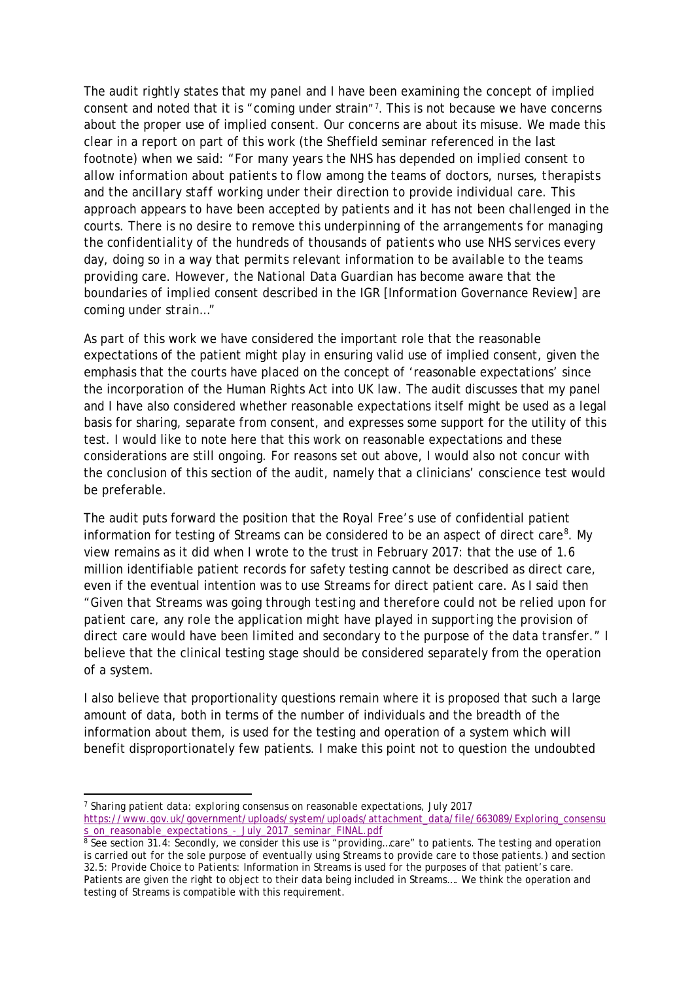The audit rightly states that my panel and I have been examining the concept of implied consent and noted that it is "coming under strain"[7](#page-2-0) . This is not because we have concerns about the proper use of implied consent. Our concerns are about its misuse. We made this clear in a report on part of this work (the Sheffield seminar referenced in the last footnote) when we said: "*For many years the NHS has depended on implied consent to allow information about patients to flow among the teams of doctors, nurses, therapists and the ancillary staff working under their direction to provide individual care. This approach appears to have been accepted by patients and it has not been challenged in the courts. There is no desire to remove this underpinning of the arrangements for managing the confidentiality of the hundreds of thousands of patients who use NHS services every day, doing so in a way that permits relevant information to be available to the teams providing care. However, the National Data Guardian has become aware that the boundaries of implied consent described in the IGR [Information Governance Review] are coming under strain…"*

As part of this work we have considered the important role that the reasonable expectations of the patient might play in ensuring valid use of implied consent, given the emphasis that the courts have placed on the concept of 'reasonable expectations' since the incorporation of the Human Rights Act into UK law. The audit discusses that my panel and I have also considered whether reasonable expectations itself might be used as a legal basis for sharing, separate from consent, and expresses some support for the utility of this test. I would like to note here that this work on reasonable expectations and these considerations are still ongoing. For reasons set out above, I would also not concur with the conclusion of this section of the audit, namely that a clinicians' conscience test would be preferable.

The audit puts forward the position that the Royal Free's use of confidential patient information for testing of Streams can be considered to be an aspect of direct care<sup>[8](#page-2-1)</sup>. My view remains as it did when I wrote to the trust in February 2017: that the use of 1.6 million identifiable patient records for safety testing cannot be described as direct care, even if the eventual intention was to use Streams for direct patient care. As I said then *"Given that Streams was going through testing and therefore could not be relied upon for patient care, any role the application might have played in supporting the provision of direct care would have been limited and secondary to the purpose of the data transfer."* I believe that the clinical testing stage should be considered separately from the operation of a system.

I also believe that proportionality questions remain where it is proposed that such a large amount of data, both in terms of the number of individuals and the breadth of the information about them, is used for the testing and operation of a system which will benefit disproportionately few patients. I make this point not to question the undoubted

**.** 

<span id="page-2-0"></span><sup>7</sup> *Sharing patient data: exploring consensus on reasonable expectations*, July 2017 [https://www.gov.uk/government/uploads/system/uploads/attachment\\_data/file/663089/Exploring\\_consensu](https://www.gov.uk/government/uploads/system/uploads/attachment_data/file/663089/Exploring_consensus_on_reasonable_expectations_-_July_2017_seminar_FINAL.pdf)

<span id="page-2-1"></span>s\_on\_reasonable\_expectations\_-\_July\_2017\_seminar\_FINAL.pdf<br><sup>8</sup> See section 31.4: *Secondly, we consider this use is "providing…care" to patients. The testing and operation is carried out for the sole purpose of eventually using Streams to provide care to those patients.) and s*ection 32.5: *Provide Choice to Patients*: Information in Streams is used for the purposes of that patient's care. Patients are given the right to object to their data being included in Streams…. We think the operation and testing of Streams is compatible with this requirement.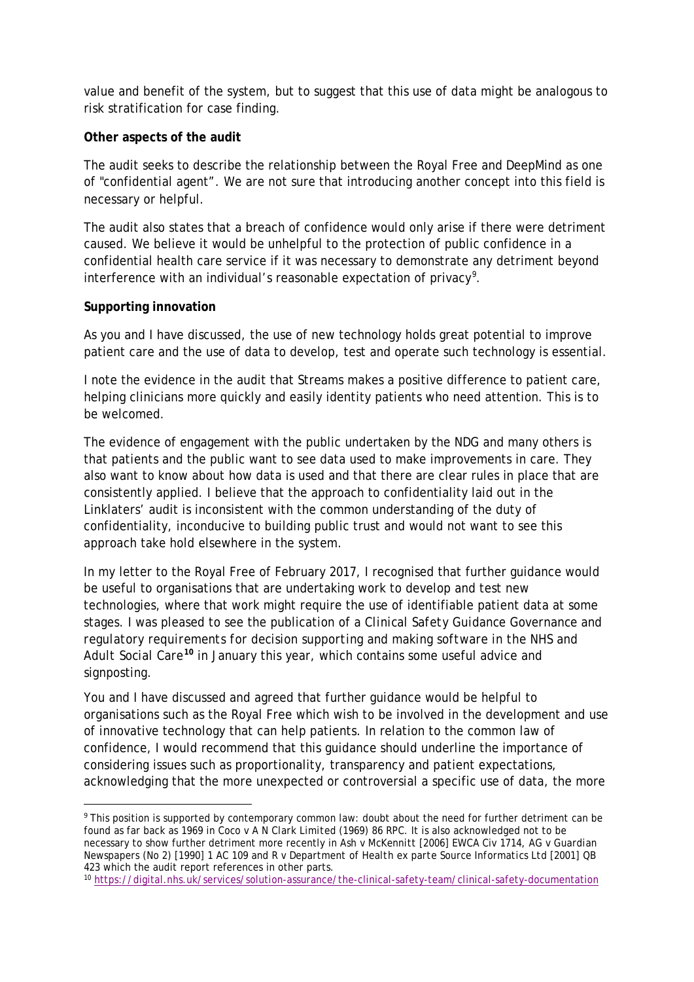value and benefit of the system, but to suggest that this use of data might be analogous to risk stratification for case finding.

### **Other aspects of the audit**

The audit seeks to describe the relationship between the Royal Free and DeepMind as one of "confidential agent". We are not sure that introducing another concept into this field is necessary or helpful.

The audit also states that a breach of confidence would only arise if there were detriment caused. We believe it would be unhelpful to the protection of public confidence in a confidential health care service if it was necessary to demonstrate any detriment beyond interference with an individual's reasonable expectation of privacy<sup>[9](#page-3-0)</sup>.

## **Supporting innovation**

As you and I have discussed, the use of new technology holds great potential to improve patient care and the use of data to develop, test and operate such technology is essential.

I note the evidence in the audit that Streams makes a positive difference to patient care, helping clinicians more quickly and easily identity patients who need attention. This is to be welcomed.

The evidence of engagement with the public undertaken by the NDG and many others is that patients and the public want to see data used to make improvements in care. They also want to know about how data is used and that there are clear rules in place that are consistently applied. I believe that the approach to confidentiality laid out in the Linklaters' audit is inconsistent with the common understanding of the duty of confidentiality, inconducive to building public trust and would not want to see this approach take hold elsewhere in the system.

In my letter to the Royal Free of February 2017, I recognised that further guidance would be useful to organisations that are undertaking work to develop and test new technologies, where that work might require the use of identifiable patient data at some stages. I was pleased to see the publication of a *Clinical Safety Guidance Governance and regulatory requirements for decision supporting and making software in the NHS and Adult Social Care***[10](#page-3-1)** in January this year, which contains some useful advice and signposting.

You and I have discussed and agreed that further guidance would be helpful to organisations such as the Royal Free which wish to be involved in the development and use of innovative technology that can help patients. In relation to the common law of confidence, I would recommend that this guidance should underline the importance of considering issues such as proportionality, transparency and patient expectations, acknowledging that the more unexpected or controversial a specific use of data, the more

<span id="page-3-0"></span><sup>&</sup>lt;sup>9</sup> This position is supported by contemporary common law: doubt about the need for further detriment can be found as far back as 1969 in *Coco v A N Clark Limited* (1969) 86 RPC. It is also acknowledged not to be necessary to show further detriment more recently in *Ash v McKennitt* [2006] EWCA Civ 1714, *AG v Guardian Newspapers* (No 2) [1990] 1 AC 109 and *R v Department of Health ex parte Source Informatics Ltd* [2001] QB 423 which the audit report references in other parts.

<span id="page-3-1"></span><sup>10</sup> <https://digital.nhs.uk/services/solution-assurance/the-clinical-safety-team/clinical-safety-documentation>